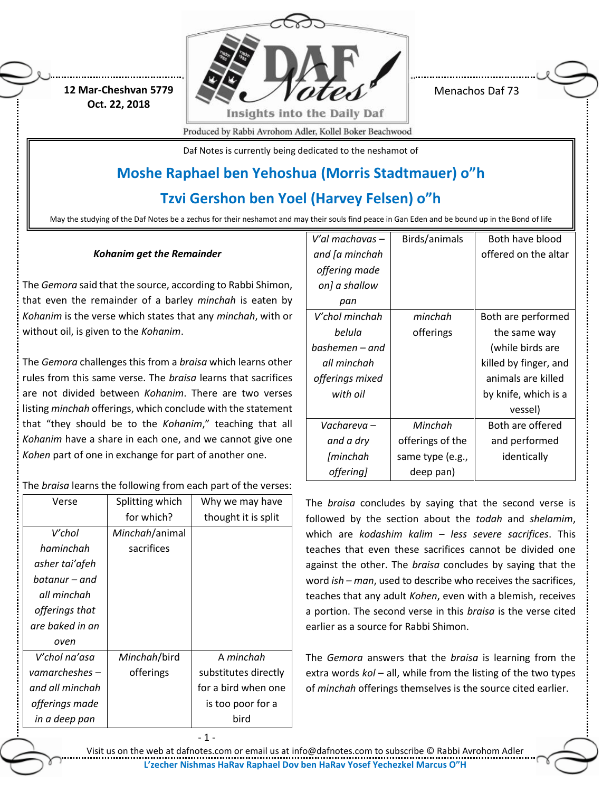**12 Mar-Cheshvan 5779 Oct. 22, 2018**



Menachos Daf 73

Produced by Rabbi Avrohom Adler, Kollel Boker Beachwood

Daf Notes is currently being dedicated to the neshamot of

# **Moshe Raphael ben Yehoshua (Morris Stadtmauer) o"h**

**Tzvi Gershon ben Yoel (Harvey Felsen) o"h**

May the studying of the Daf Notes be a zechus for their neshamot and may their souls find peace in Gan Eden and be bound up in the Bond of life

## *Kohanim get the Remainder*

The *Gemora* said that the source, according to Rabbi Shimon, that even the remainder of a barley *minchah* is eaten by *Kohanim* is the verse which states that any *minchah*, with or without oil, is given to the *Kohanim*.

The *Gemora* challenges this from a *braisa* which learns other rules from this same verse. The *braisa* learns that sacrifices are not divided between *Kohanim*. There are two verses listing *minchah* offerings, which conclude with the statement that "they should be to the *Kohanim*," teaching that all *Kohanim* have a share in each one, and we cannot give one *Kohen* part of one in exchange for part of another one.

# The *braisa* learns the following from each part of the verses:

| Verse            | Splitting which | Why we may have      |
|------------------|-----------------|----------------------|
|                  | for which?      | thought it is split  |
| V′chol           | Minchah/animal  |                      |
| haminchah        | sacrifices      |                      |
| asher tai'afeh   |                 |                      |
| batanur - and    |                 |                      |
| all minchah      |                 |                      |
| offerings that   |                 |                      |
| are baked in an  |                 |                      |
| oven             |                 |                      |
| V′chol na'asa    | Minchah/bird    | A minchah            |
| vamarcheshes $-$ | offerings       | substitutes directly |
| and all minchah  |                 | for a bird when one  |
| offerings made   |                 | is too poor for a    |
| in a deep pan    |                 | bird                 |

- 1 -

| V′al machavas – | Birds/animals    | Both have blood       |
|-----------------|------------------|-----------------------|
| and [a minchah  |                  | offered on the altar  |
| offering made   |                  |                       |
| on] a shallow   |                  |                       |
| pan             |                  |                       |
| V′chol minchah  | minchah          | Both are performed    |
| belula          | offerings        | the same way          |
| bashemen – and  |                  | (while birds are      |
| all minchah     |                  | killed by finger, and |
| offerings mixed |                  | animals are killed    |
| with oil        |                  | by knife, which is a  |
|                 |                  | vessel)               |
| Vachareva –     | Minchah          | Both are offered      |
| and a dry       | offerings of the | and performed         |
| [minchah        | same type (e.g., | identically           |
| offering]       | deep pan)        |                       |

The *braisa* concludes by saying that the second verse is followed by the section about the *todah* and *shelamim*, which are *kodashim kalim – less severe sacrifices*. This teaches that even these sacrifices cannot be divided one against the other. The *braisa* concludes by saying that the word *ish – man*, used to describe who receives the sacrifices, teaches that any adult *Kohen*, even with a blemish, receives a portion. The second verse in this *braisa* is the verse cited earlier as a source for Rabbi Shimon.

The *Gemora* answers that the *braisa* is learning from the extra words *kol* – all, while from the listing of the two types of *minchah* offerings themselves is the source cited earlier.

Visit us on the web at dafnotes.com or email us at [info@dafnotes.com](mailto:info@dafnotes.com) to subscribe © Rabbi Avrohom Adler **L'zecher Nishmas HaRav Raphael Dov ben HaRav Yosef Yechezkel Marcus O"H**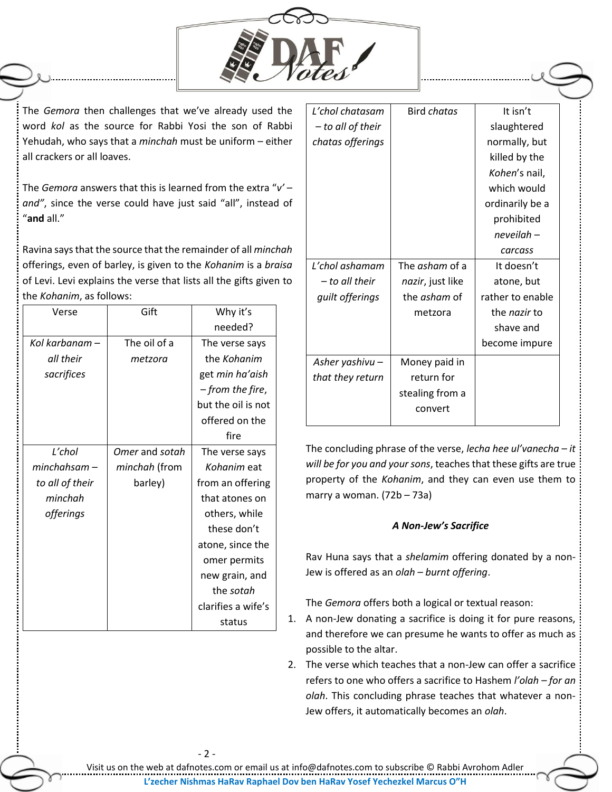

The *Gemora* then challenges that we've already used the word *kol* as the source for Rabbi Yosi the son of Rabbi Yehudah, who says that a *minchah* must be uniform – either all crackers or all loaves.

The *Gemora* answers that this is learned from the extra "*v' – and"*, since the verse could have just said "all", instead of "**and** all."

Ravina says that the source that the remainder of all *minchah* offerings, even of barley, is given to the *Kohanim* is a *braisa* of Levi. Levi explains the verse that lists all the gifts given to the *Kohanim*, as follows:

| Verse           | Gift           | Why it's           |
|-----------------|----------------|--------------------|
|                 |                | needed?            |
| Kol karbanam –  | The oil of a   | The verse says     |
| all their       | metzora        | the Kohanim        |
| sacrifices      |                | get min ha'aish    |
|                 |                | - from the fire,   |
|                 |                | but the oil is not |
|                 |                | offered on the     |
|                 |                | fire               |
| L'chol          | Omer and sotah | The verse says     |
| minchahsam –    | minchah (from  | Kohanim eat        |
| to all of their | barley)        | from an offering   |
| minchah         |                | that atones on     |
| offerings       |                | others, while      |
|                 |                | these don't        |
|                 |                | atone, since the   |
|                 |                | omer permits       |
|                 |                | new grain, and     |
|                 |                | the sotah          |
|                 |                | clarifies a wife's |
|                 |                | status             |

| L'chol chatasam   | Bird chatas           | It isn't            |
|-------------------|-----------------------|---------------------|
| – to all of their |                       | slaughtered         |
| chatas offerings  |                       | normally, but       |
|                   |                       | killed by the       |
|                   |                       | Kohen's nail,       |
|                   |                       | which would         |
|                   |                       | ordinarily be a     |
|                   |                       | prohibited          |
|                   |                       | neveilah –          |
|                   |                       | carcass             |
| L'chol ashamam    | The <i>asham</i> of a | It doesn't          |
| – to all their    | nazir, just like      | atone, but          |
| guilt offerings   | the asham of          | rather to enable    |
|                   | metzora               | the <i>nazir</i> to |
|                   |                       | shave and           |
|                   |                       | become impure       |
| Asher yashivu –   | Money paid in         |                     |
| that they return  | return for            |                     |
|                   | stealing from a       |                     |
|                   | convert               |                     |
|                   |                       |                     |

The concluding phrase of the verse, *lecha hee ul'vanecha – it will be for you and your sons*, teaches that these gifts are true property of the *Kohanim*, and they can even use them to marry a woman. (72b – 73a)

## *A Non-Jew's Sacrifice*

Rav Huna says that a *shelamim* offering donated by a non-Jew is offered as an *olah – burnt offering*.

The *Gemora* offers both a logical or textual reason:

- 1. A non-Jew donating a sacrifice is doing it for pure reasons, and therefore we can presume he wants to offer as much as possible to the altar.
- 2. The verse which teaches that a non-Jew can offer a sacrifice refers to one who offers a sacrifice to Hashem *l'olah – for an olah*. This concluding phrase teaches that whatever a non-Jew offers, it automatically becomes an *olah*.

Visit us on the web at dafnotes.com or email us at [info@dafnotes.com](mailto:info@dafnotes.com) to subscribe © Rabbi Avrohom Adler **L'zecher Nishmas HaRav Raphael Dov ben HaRav Yosef Yechezkel Marcus O"H**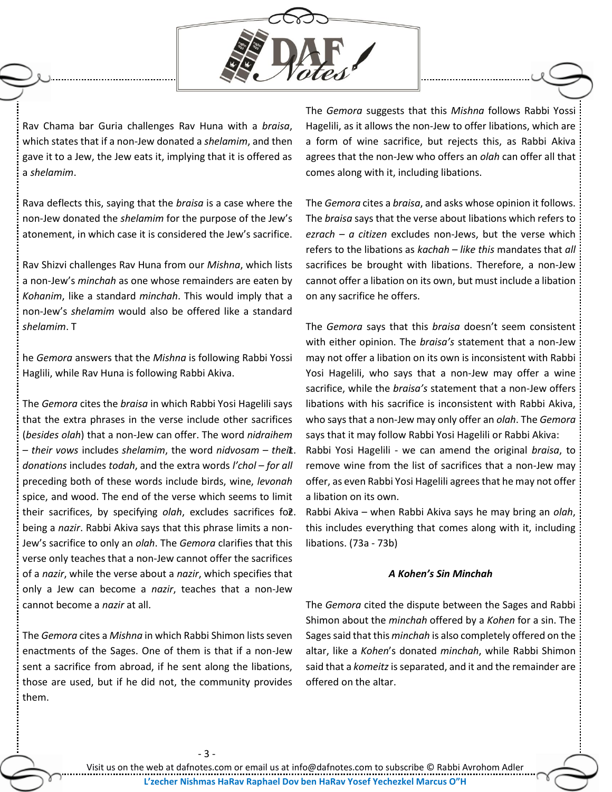

Rav Chama bar Guria challenges Rav Huna with a *braisa*, which states that if a non-Jew donated a *shelamim*, and then gave it to a Jew, the Jew eats it, implying that it is offered as a *shelamim*.

Rava deflects this, saying that the *braisa* is a case where the non-Jew donated the *shelamim* for the purpose of the Jew's atonement, in which case it is considered the Jew's sacrifice.

Rav Shizvi challenges Rav Huna from our *Mishna*, which lists a non-Jew's *minchah* as one whose remainders are eaten by *Kohanim*, like a standard *minchah*. This would imply that a non-Jew's *shelamim* would also be offered like a standard *shelamim*. T

he *Gemora* answers that the *Mishna* is following Rabbi Yossi Haglili, while Rav Huna is following Rabbi Akiva.

The *Gemora* cites the *braisa* in which Rabbi Yosi Hagelili says that the extra phrases in the verse include other sacrifices (*besides olah*) that a non-Jew can offer. The word *nidraihem – their vows* includes *shelamim*, the word *nidvosam – their donations* includes *todah*, and the extra words *l'chol – for all* preceding both of these words include birds, wine, *levonah* spice, and wood. The end of the verse which seems to limit their sacrifices, by specifying *olah*, excludes sacrifices fol. being a *nazir*. Rabbi Akiva says that this phrase limits a non-Jew's sacrifice to only an *olah*. The *Gemora* clarifies that this verse only teaches that a non-Jew cannot offer the sacrifices of a *nazir*, while the verse about a *nazir*, which specifies that only a Jew can become a *nazir*, teaches that a non-Jew cannot become a *nazir* at all.

The *Gemora* cites a *Mishna* in which Rabbi Shimon lists seven enactments of the Sages. One of them is that if a non-Jew sent a sacrifice from abroad, if he sent along the libations, those are used, but if he did not, the community provides them.

The *Gemora* suggests that this *Mishna* follows Rabbi Yossi Hagelili, as it allows the non-Jew to offer libations, which are a form of wine sacrifice, but rejects this, as Rabbi Akiva agrees that the non-Jew who offers an *olah* can offer all that comes along with it, including libations.

The *Gemora* cites a *braisa*, and asks whose opinion it follows. The *braisa* says that the verse about libations which refers to *ezrach – a citizen* excludes non-Jews, but the verse which refers to the libations as *kachah – like this* mandates that *all* sacrifices be brought with libations. Therefore, a non-Jew cannot offer a libation on its own, but must include a libation on any sacrifice he offers.

The *Gemora* says that this *braisa* doesn't seem consistent with either opinion. The *braisa's* statement that a non-Jew may not offer a libation on its own is inconsistent with Rabbi Yosi Hagelili, who says that a non-Jew may offer a wine sacrifice, while the *braisa's* statement that a non-Jew offers libations with his sacrifice is inconsistent with Rabbi Akiva, who says that a non-Jew may only offer an *olah*. The *Gemora* says that it may follow Rabbi Yosi Hagelili or Rabbi Akiva: 1. Rabbi Yosi Hagelili - we can amend the original *braisa*, to remove wine from the list of sacrifices that a non-Jew may offer, as even Rabbi Yosi Hagelili agrees that he may not offer a libation on its own.

2. Rabbi Akiva – when Rabbi Akiva says he may bring an *olah*, this includes everything that comes along with it, including libations. (73a - 73b)

### *A Kohen's Sin Minchah*

The *Gemora* cited the dispute between the Sages and Rabbi Shimon about the *minchah* offered by a *Kohen* for a sin. The Sages said that this *minchah* is also completely offered on the altar, like a *Kohen*'s donated *minchah*, while Rabbi Shimon said that a *komeitz*is separated, and it and the remainder are offered on the altar.